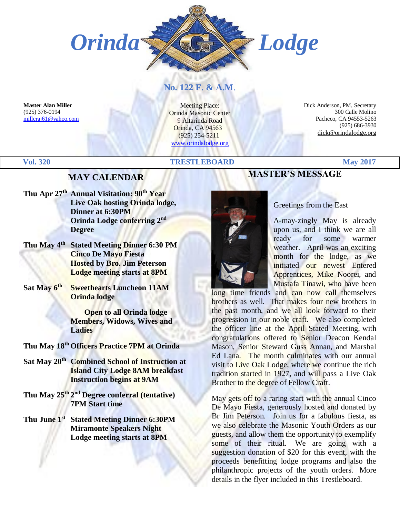

# **No. 122 F. & A.M**.

**Master Alan Miller** (925) 376-0194 [milleraj61@yahoo.com](mailto:milleraj61@yahoo.com)

Meeting Place: Orinda Masonic Center 9 Altarinda Road Orinda, CA 94563 (925) 254-5211 [www.orindalodge.org](http://www.orindalodge.org/)

 Dick Anderson, PM, Secretary 300 Calle Molino Pacheco, CA 94553-5263 (925) 686-3930 dick@orindalodge.org

### **Vol. 320 TRESTLEBOARD May 2017**

# **MAY CALENDAR**

- **Thu Apr 27th Annual Visitation: 90th Year Live Oak hosting Orinda lodge, Dinner at 6:30PM Orinda Lodge conferring 2 nd Degree**
- **Thu May 4th Stated Meeting Dinner 6:30 PM Cinco De Mayo Fiesta Hosted by Bro. Jim Peterson Lodge meeting starts at 8PM**
- **Sat May 6th Sweethearts Luncheon 11AM Orinda lodge**

 **Open to all Orinda lodge Members, Widows, Wives and Ladies**

**Thu May 18th Officers Practice 7PM at Orinda**

- **Sat May 20th Combined School of Instruction at Island City Lodge 8AM breakfast Instruction begins at 9AM**
- **Thu May 25 th 2 nd Degree conferral (tentative) 7PM Start time**
- **Thu June 1st Stated Meeting Dinner 6:30PM Miramonte Speakers Night Lodge meeting starts at 8PM**

# **MASTER'S MESSAGE**

#### Greetings from the East



A-may-zingly May is already upon us, and I think we are all ready for some warmer weather. April was an exciting month for the lodge, as we initiated our newest Entered Apprentices, Mike Noorei, and Mustafa Tinawi, who have been

long time friends and can now call themselves brothers as well. That makes four new brothers in the past month, and we all look forward to their progression in our noble craft. We also completed the officer line at the April Stated Meeting, with congratulations offered to Senior Deacon Kendal Mason, Senior Steward Guss Annan, and Marshal Ed Lana. The month culminates with our annual visit to Live Oak Lodge, where we continue the rich tradition started in 1927, and will pass a Live Oak Brother to the degree of Fellow Craft.

May gets off to a raring start with the annual Cinco De Mayo Fiesta, generously hosted and donated by Br Jim Peterson. Join us for a fabulous fiesta, as we also celebrate the Masonic Youth Orders as our guests, and allow them the opportunity to exemplify some of their ritual. We are going with a suggestion donation of \$20 for this event, with the proceeds benefitting lodge programs and also the philanthropic projects of the youth orders. More details in the flyer included in this Trestleboard.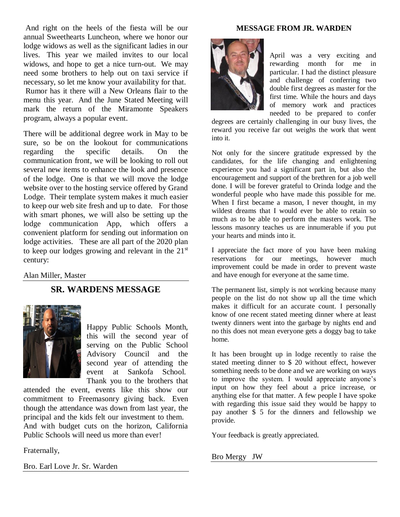And right on the heels of the fiesta will be our annual Sweethearts Luncheon, where we honor our lodge widows as well as the significant ladies in our lives. This year we mailed invites to our local widows, and hope to get a nice turn-out. We may need some brothers to help out on taxi service if necessary, so let me know your availability for that. Rumor has it there will a New Orleans flair to the menu this year. And the June Stated Meeting will mark the return of the Miramonte Speakers program, always a popular event.

There will be additional degree work in May to be sure, so be on the lookout for communications regarding the specific details. On the communication front, we will be looking to roll out several new items to enhance the look and presence of the lodge. One is that we will move the lodge website over to the hosting service offered by Grand Lodge. Their template system makes it much easier to keep our web site fresh and up to date. For those with smart phones, we will also be setting up the lodge communication App, which offers a convenient platform for sending out information on lodge activities. These are all part of the 2020 plan to keep our lodges growing and relevant in the  $21<sup>st</sup>$ century:

#### Alan Miller, Master

# **SR. WARDENS MESSAGE**



Happy Public Schools Month, this will the second year of serving on the Public School Advisory Council and the second year of attending the event at Sankofa School. Thank you to the brothers that

attended the event, events like this show our commitment to Freemasonry giving back. Even though the attendance was down from last year, the principal and the kids felt our investment to them. And with budget cuts on the horizon, California Public Schools will need us more than ever!

Fraternally,

Bro. Earl Love Jr. Sr. Warden

#### **MESSAGE FROM JR. WARDEN**



April was a very exciting and rewarding month for me in particular. I had the distinct pleasure and challenge of conferring two double first degrees as master for the first time. While the hours and days of memory work and practices needed to be prepared to confer

degrees are certainly challenging in our busy lives, the reward you receive far out weighs the work that went into it.

Not only for the sincere gratitude expressed by the candidates, for the life changing and enlightening experience you had a significant part in, but also the encouragement and support of the brethren for a job well done. I will be forever grateful to Orinda lodge and the wonderful people who have made this possible for me. When I first became a mason, I never thought, in my wildest dreams that I would ever be able to retain so much as to be able to perform the masters work. The lessons masonry teaches us are innumerable if you put your hearts and minds into it.

I appreciate the fact more of you have been making reservations for our meetings, however much improvement could be made in order to prevent waste and have enough for everyone at the same time.

The permanent list, simply is not working because many people on the list do not show up all the time which makes it difficult for an accurate count. I personally know of one recent stated meeting dinner where at least twenty dinners went into the garbage by nights end and no this does not mean everyone gets a doggy bag to take home.

It has been brought up in lodge recently to raise the stated meeting dinner to \$ 20 without effect, however something needs to be done and we are working on ways to improve the system. I would appreciate anyone's input on how they feel about a price increase, or anything else for that matter. A few people I have spoke with regarding this issue said they would be happy to pay another \$ 5 for the dinners and fellowship we provide.

Your feedback is greatly appreciated.

#### Bro Mergy JW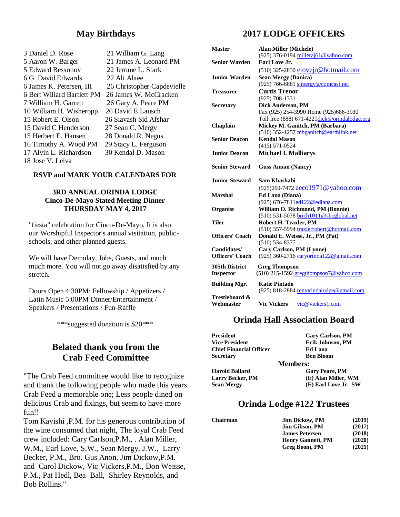# **May Birthdays**

3 Daniel D. Rose 21 William G. Lang 5 Aaron W. Barger 21 James A. Leonard PM 5 Edward Bessonov 22 Jerome L. Stark 6 G. David Edwards 22 Ali Alaee 6 Bert Willard Bartlett PM 26 James W. McCracken 7 William H. Garrett 26 Gary A. Peare PM 10 William H. Wisheropp 26 David E Lausch 15 Robert E. Olson 26 Siavash Sid Afshar 15 David C Henderson 27 Sean C. Mergy 15 Herbert E. Hansen 28 Donald R. Negus 16 Timothy A. Wood PM 29 Stacy L. Ferguson 17 Alvin L. Richardson 30 Kendal D. Mason 18 Jose V. Leiva

6 James K. Petersen, III 26 Christopher Capdevielle

#### **RSVP and MARK YOUR CALENDARS FOR**

#### **3RD ANNUAL ORINDA LODGE Cinco-De-Mayo Stated Meeting Dinner THURSDAY MAY 4, 2017**

"fiesta" celebration for Cinco-De-Mayo. It is also our Worshipful Inspector's annual visitation, publicschools, and other planned guests.

We will have Demolay, Jobs, Guests, and much much more. You will not go away disatisfied by any stretch.

Doors Open 4:30PM: Fellowship / Appetizers / Latin Music 5:00PM Dinner/Entertainment / Speakers / Presentations / Fun-Raffle

\*\*\*suggested donation is \$20\*\*\*

# **Belated thank you from the Crab Feed Committee**

"The Crab Feed committee would like to recognize and thank the following people who made this years Crab Feed a memorable one; Less people dined on delicious Crab and fixings, but seem to have more fun!!

Tom Kavishi ,P.M. for his generous contribution of the wine consumed that night, The loyal Crab Feed crew included: Cary Carlson,P.M., . Alan Miller, W.M., Earl Love, S.W., Sean Mergy, J.W., Larry Becker, P.M., Bro. Gus Anon, Jim Dickow,P.M. and Carol Dickow, Vic Vickers,P.M., Don Weisse, P.M., Pat Hedl, Bea Ball, Shirley Reynolds, and Bob Rollins."

# **2017 LODGE OFFICERS**

| <b>Master</b>                  | <b>Alan Miller (Michele)</b>                                         |
|--------------------------------|----------------------------------------------------------------------|
| <b>Senior Warden</b>           | (925) 376-0194 milleraj61@yahoo.com<br>Earl Love Jr.                 |
|                                |                                                                      |
|                                | $(510)$ 325-2830 elovejr@hotmail.com                                 |
| <b>Junior Warden</b>           | <b>Sean Mergy (Danica)</b>                                           |
| Treasurer                      | (925) 766-6881 s.mergy@comcast.net<br><b>Curtis Trenor</b>           |
|                                | $(925) 708 - 1331$                                                   |
|                                | <b>Dick Anderson, PM</b>                                             |
| <b>Secretary</b>               | Fax (925) 254-3990 Home (925)686-3930                                |
|                                | Toll free $(888)$ 671-4221 $\frac{\text{disk @ orindalodge.org}}{2}$ |
| Chaplain                       | Mickey M. Ganitch, PM (Barbara)                                      |
|                                | (510) 352-1257 mbganitch@earthlink.net                               |
| <b>Senior Deacon</b>           | <b>Kendal Mason</b>                                                  |
|                                | $(415) 571 - 0524$                                                   |
| <b>Junior Deacon</b>           | <b>Michael I. Malliarys</b>                                          |
|                                |                                                                      |
| <b>Senior Steward</b>          | <b>Guss Annan (Nancy)</b>                                            |
| <b>Junior Steward</b>          | Sam Khashabi                                                         |
|                                | (925)260-7472 aeco1971@yahoo.com                                     |
| <b>Marshal</b>                 | Ed Lana (Diana)                                                      |
|                                | (925) 676-7811ed122@edlana.com                                       |
| Organist                       | William O. Richmond, PM (Bonnie)                                     |
|                                | (510) 531-5078 brich1011@sbcglobal.net                               |
| <b>Tiler</b>                   | Robert H. Traxler, PM                                                |
|                                | (510) 357-5994 traxlerrobert@hotmail.com                             |
| <b>Officers' Coach</b>         | Donald E. Weisse, Jr., PM (Pat)                                      |
|                                | $(510) 534 - 8377$                                                   |
| Candidates/<br>Officers' Coach | Cary Carlson, PM (Lynne)                                             |
|                                | (925) 360-2716 caryorinda122@gmail.com                               |
| <b>305th District</b>          | <b>Greg Thompson</b>                                                 |
| <b>Inspector</b>               | $(510)$ 215-1592 gregthompson7@yahoo.com                             |
| <b>Building Mgr.</b>           | <b>Katie Pintado</b>                                                 |
|                                | (925) 818-2884 rentorindalodge@gmail.com                             |
| Trestleboard &                 |                                                                      |
| Webmaster                      | <b>Vic Vickers</b><br>vic@vickers1.com                               |

# **Orinda Hall Association Board**

| President                      | Cary Carlson, PM      |
|--------------------------------|-----------------------|
| <b>Vice President</b>          | Erik Johnson, PM      |
| <b>Chief Financial Officer</b> | <b>Ed Lana</b>        |
| Secretarv                      | <b>Ben Bloom</b>      |
|                                | <b>Members:</b>       |
| Harold Ballard                 | <b>Gary Peare, PM</b> |
| <b>Larry Becker, PM</b>        | (E) Alan Miller, WM   |
| Sean Mergy                     | (E) Earl Love Jr. SW  |
|                                |                       |

## **Orinda Lodge #122 Trustees**

| Chairman | <b>Jim Dickow, PM</b>    | (2019) |
|----------|--------------------------|--------|
|          | <b>Jim Gibson, PM</b>    | (2017) |
|          | <b>James Petersen</b>    | (2018) |
|          | <b>Henry Gannett, PM</b> | (2020) |
|          | Greg Boom, PM            | (2021) |